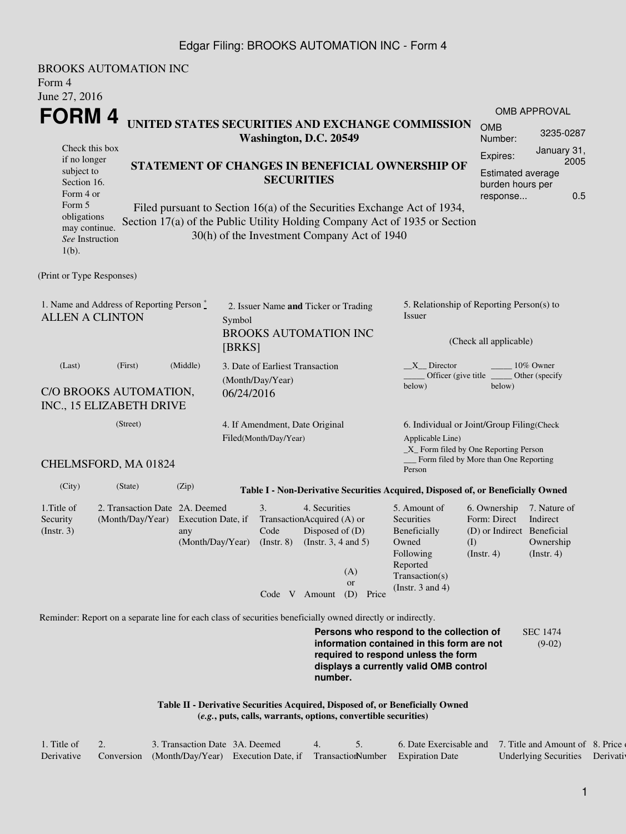## Edgar Filing: BROOKS AUTOMATION INC - Form 4

| Form 4<br>June 27, 2016                                               | <b>BROOKS AUTOMATION INC</b>                                                                                |                                                                                                                                                                                                      |                                                                      |                                                                                                                                                      |          |                                                                                                           |                  |                                                                                         |                                                                                                                                                                         |        |                                                          |                             |             |
|-----------------------------------------------------------------------|-------------------------------------------------------------------------------------------------------------|------------------------------------------------------------------------------------------------------------------------------------------------------------------------------------------------------|----------------------------------------------------------------------|------------------------------------------------------------------------------------------------------------------------------------------------------|----------|-----------------------------------------------------------------------------------------------------------|------------------|-----------------------------------------------------------------------------------------|-------------------------------------------------------------------------------------------------------------------------------------------------------------------------|--------|----------------------------------------------------------|-----------------------------|-------------|
| FORM 4                                                                |                                                                                                             |                                                                                                                                                                                                      |                                                                      |                                                                                                                                                      |          |                                                                                                           |                  |                                                                                         |                                                                                                                                                                         |        |                                                          | <b>OMB APPROVAL</b>         |             |
|                                                                       |                                                                                                             | UNITED STATES SECURITIES AND EXCHANGE COMMISSION<br>Washington, D.C. 20549                                                                                                                           |                                                                      |                                                                                                                                                      |          |                                                                                                           |                  |                                                                                         |                                                                                                                                                                         |        |                                                          |                             | 3235-0287   |
| Check this box<br>if no longer                                        |                                                                                                             |                                                                                                                                                                                                      |                                                                      |                                                                                                                                                      | Expires: |                                                                                                           | January 31,      |                                                                                         |                                                                                                                                                                         |        |                                                          |                             |             |
| subject to<br>Section 16.<br>Form 4 or                                |                                                                                                             |                                                                                                                                                                                                      | STATEMENT OF CHANGES IN BENEFICIAL OWNERSHIP OF<br><b>SECURITIES</b> |                                                                                                                                                      |          |                                                                                                           |                  |                                                                                         |                                                                                                                                                                         |        | <b>Estimated average</b><br>burden hours per<br>response |                             | 2005<br>0.5 |
| Form 5<br>obligations<br>may continue.<br>See Instruction<br>$1(b)$ . |                                                                                                             | Filed pursuant to Section 16(a) of the Securities Exchange Act of 1934,<br>Section 17(a) of the Public Utility Holding Company Act of 1935 or Section<br>30(h) of the Investment Company Act of 1940 |                                                                      |                                                                                                                                                      |          |                                                                                                           |                  |                                                                                         |                                                                                                                                                                         |        |                                                          |                             |             |
| (Print or Type Responses)                                             |                                                                                                             |                                                                                                                                                                                                      |                                                                      |                                                                                                                                                      |          |                                                                                                           |                  |                                                                                         |                                                                                                                                                                         |        |                                                          |                             |             |
| 1. Name and Address of Reporting Person*<br><b>ALLEN A CLINTON</b>    |                                                                                                             | 2. Issuer Name and Ticker or Trading<br>Symbol                                                                                                                                                       |                                                                      |                                                                                                                                                      |          |                                                                                                           |                  | 5. Relationship of Reporting Person(s) to<br>Issuer                                     |                                                                                                                                                                         |        |                                                          |                             |             |
|                                                                       |                                                                                                             | <b>BROOKS AUTOMATION INC</b><br>[BRKS]                                                                                                                                                               |                                                                      |                                                                                                                                                      |          |                                                                                                           |                  | (Check all applicable)                                                                  |                                                                                                                                                                         |        |                                                          |                             |             |
| (Last)                                                                | (First)                                                                                                     | (Middle)<br>3. Date of Earliest Transaction                                                                                                                                                          |                                                                      |                                                                                                                                                      |          | X Director                                                                                                |                  |                                                                                         |                                                                                                                                                                         |        | 10% Owner                                                |                             |             |
| C/O BROOKS AUTOMATION,<br>INC., 15 ELIZABETH DRIVE                    |                                                                                                             | (Month/Day/Year)<br>06/24/2016                                                                                                                                                                       |                                                                      |                                                                                                                                                      |          |                                                                                                           |                  | Officer (give title)<br>below)                                                          |                                                                                                                                                                         | below) | Other (specify)                                          |                             |             |
|                                                                       | 4. If Amendment, Date Original<br>Filed(Month/Day/Year)                                                     |                                                                                                                                                                                                      |                                                                      |                                                                                                                                                      |          | 6. Individual or Joint/Group Filing(Check<br>Applicable Line)<br>$\_X$ Form filed by One Reporting Person |                  |                                                                                         |                                                                                                                                                                         |        |                                                          |                             |             |
|                                                                       | CHELMSFORD, MA 01824                                                                                        |                                                                                                                                                                                                      |                                                                      |                                                                                                                                                      |          |                                                                                                           |                  |                                                                                         | _ Form filed by More than One Reporting<br>Person                                                                                                                       |        |                                                          |                             |             |
| (City)                                                                | (State)                                                                                                     | (Zip)                                                                                                                                                                                                |                                                                      |                                                                                                                                                      |          |                                                                                                           |                  |                                                                                         | Table I - Non-Derivative Securities Acquired, Disposed of, or Beneficially Owned                                                                                        |        |                                                          |                             |             |
| 1. Title of<br>Security<br>$($ Instr. 3 $)$                           | 2. Transaction Date 2A. Deemed<br>(Month/Day/Year) Execution Date, if                                       | 3.<br>4. Securities<br>TransactionAcquired (A) or<br>Code<br>any<br>(Month/Day/Year)<br>$($ Instr. $8)$                                                                                              |                                                                      | 5. Amount of<br>Securities<br>Disposed of (D)<br>Beneficially<br>Owned<br>(Instr. $3, 4$ and $5$ )<br>Following<br>Reported<br>(A)<br>Transaction(s) |          | 6. Ownership<br>Form: Direct<br>$\rm (I)$<br>(Insert. 4)                                                  |                  | 7. Nature of<br>Indirect<br>(D) or Indirect Beneficial<br>Ownership<br>$($ Instr. 4 $)$ |                                                                                                                                                                         |        |                                                          |                             |             |
|                                                                       |                                                                                                             |                                                                                                                                                                                                      |                                                                      | Code V                                                                                                                                               |          | Amount                                                                                                    | <b>or</b><br>(D) | Price                                                                                   | (Instr. $3$ and $4$ )                                                                                                                                                   |        |                                                          |                             |             |
|                                                                       | Reminder: Report on a separate line for each class of securities beneficially owned directly or indirectly. |                                                                                                                                                                                                      |                                                                      |                                                                                                                                                      |          |                                                                                                           |                  |                                                                                         |                                                                                                                                                                         |        |                                                          |                             |             |
|                                                                       |                                                                                                             |                                                                                                                                                                                                      |                                                                      |                                                                                                                                                      |          | number.                                                                                                   |                  |                                                                                         | Persons who respond to the collection of<br>information contained in this form are not<br>required to respond unless the form<br>displays a currently valid OMB control |        |                                                          | <b>SEC 1474</b><br>$(9-02)$ |             |

**Table II - Derivative Securities Acquired, Disposed of, or Beneficially Owned (***e.g.***, puts, calls, warrants, options, convertible securities)**

| 1. Title of $\angle$ | 3. Transaction Date 3A. Deemed |                                                                                   | 6. Date Exercisable and 7. Title and Amount of 8. Price |                                  |  |
|----------------------|--------------------------------|-----------------------------------------------------------------------------------|---------------------------------------------------------|----------------------------------|--|
| Derivative           |                                | Conversion (Month/Day/Year) Execution Date, if Transaction Number Expiration Date |                                                         | Underlying Securities Derivative |  |